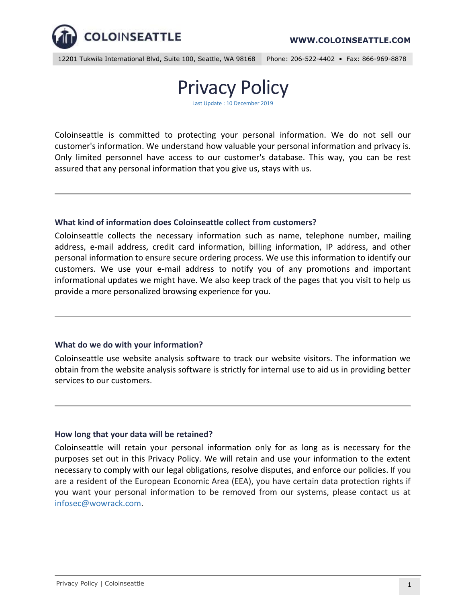

12201 Tukwila International Blvd, Suite 100, Seattle, WA 98168 Phone: 206-522-4402 • Fax: 866-969-8878



Coloinseattle is committed to protecting your personal information. We do not sell our customer's information. We understand how valuable your personal information and privacy is. Only limited personnel have access to our customer's database. This way, you can be rest assured that any personal information that you give us, stays with us.

### **What kind of information does Coloinseattle collect from customers?**

Coloinseattle collects the necessary information such as name, telephone number, mailing address, e-mail address, credit card information, billing information, IP address, and other personal information to ensure secure ordering process. We use this information to identify our customers. We use your e-mail address to notify you of any promotions and important informational updates we might have. We also keep track of the pages that you visit to help us provide a more personalized browsing experience for you.

### **What do we do with your information?**

Coloinseattle use website analysis software to track our website visitors. The information we obtain from the website analysis software is strictly for internal use to aid us in providing better services to our customers.

### **How long that your data will be retained?**

Coloinseattle will retain your personal information only for as long as is necessary for the purposes set out in this Privacy Policy. We will retain and use your information to the extent necessary to comply with our legal obligations, resolve disputes, and enforce our policies. If you are a resident of the European Economic Area (EEA), you have certain data protection rights if you want your personal information to be removed from our systems, please contact us at infosec@wowrack.com.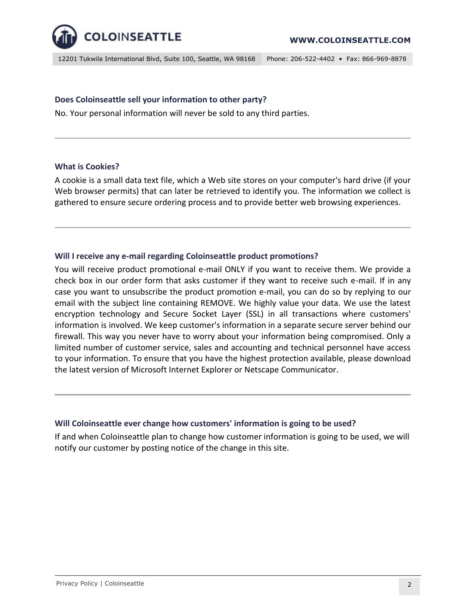

12201 Tukwila International Blvd, Suite 100, Seattle, WA 98168 Phone: 206-522-4402 • Fax: 866-969-8878

## **Does Coloinseattle sell your information to other party?**

No. Your personal information will never be sold to any third parties.

#### **What is Cookies?**

A cookie is a small data text file, which a Web site stores on your computer's hard drive (if your Web browser permits) that can later be retrieved to identify you. The information we collect is gathered to ensure secure ordering process and to provide better web browsing experiences.

# **Will I receive any e-mail regarding Coloinseattle product promotions?**

You will receive product promotional e-mail ONLY if you want to receive them. We provide a check box in our order form that asks customer if they want to receive such e-mail. If in any case you want to unsubscribe the product promotion e-mail, you can do so by replying to our email with the subject line containing REMOVE. We highly value your data. We use the latest encryption technology and Secure Socket Layer (SSL) in all transactions where customers' information is involved. We keep customer's information in a separate secure server behind our firewall. This way you never have to worry about your information being compromised. Only a limited number of customer service, sales and accounting and technical personnel have access to your information. To ensure that you have the highest protection available, please download the latest version of Microsoft Internet Explorer or Netscape Communicator.

### **Will Coloinseattle ever change how customers' information is going to be used?**

If and when Coloinseattle plan to change how customer information is going to be used, we will notify our customer by posting notice of the change in this site.